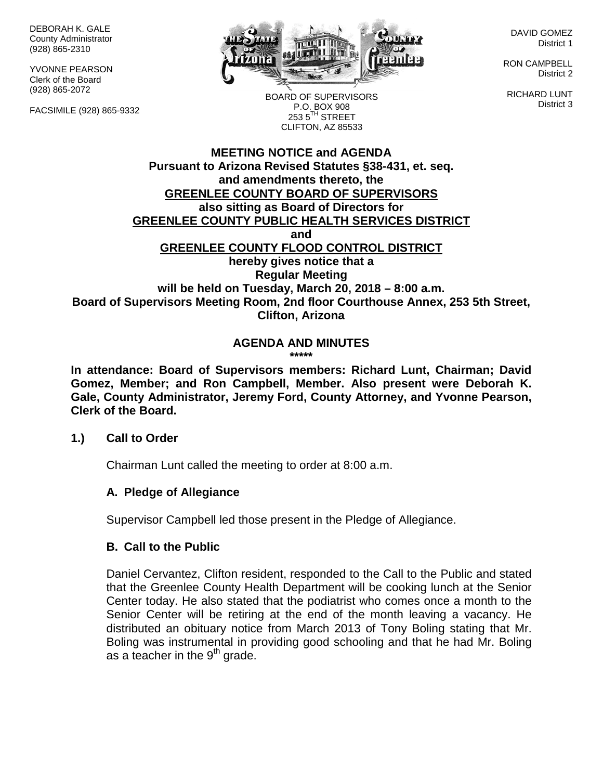DEBORAH K. GALE County Administrator (928) 865-2310

YVONNE PEARSON Clerk of the Board (928) 865-2072

FACSIMILE (928) 865-9332



DAVID GOMEZ District 1

RON CAMPBELL District 2

RICHARD LUNT District 3

BOARD OF SUPERVISORS P.O. BOX 908  $253.5$ <sup>TH</sup> STREET CLIFTON, AZ 85533

## **MEETING NOTICE and AGENDA Pursuant to Arizona Revised Statutes §38-431, et. seq. and amendments thereto, the GREENLEE COUNTY BOARD OF SUPERVISORS also sitting as Board of Directors for GREENLEE COUNTY PUBLIC HEALTH SERVICES DISTRICT and GREENLEE COUNTY FLOOD CONTROL DISTRICT hereby gives notice that a Regular Meeting will be held on Tuesday, March 20, 2018 – 8:00 a.m. Board of Supervisors Meeting Room, 2nd floor Courthouse Annex, 253 5th Street, Clifton, Arizona**

#### **AGENDA AND MINUTES \*\*\*\*\***

**In attendance: Board of Supervisors members: Richard Lunt, Chairman; David Gomez, Member; and Ron Campbell, Member. Also present were Deborah K. Gale, County Administrator, Jeremy Ford, County Attorney, and Yvonne Pearson, Clerk of the Board.**

## **1.) Call to Order**

Chairman Lunt called the meeting to order at 8:00 a.m.

## **A. Pledge of Allegiance**

Supervisor Campbell led those present in the Pledge of Allegiance.

## **B. Call to the Public**

Daniel Cervantez, Clifton resident, responded to the Call to the Public and stated that the Greenlee County Health Department will be cooking lunch at the Senior Center today. He also stated that the podiatrist who comes once a month to the Senior Center will be retiring at the end of the month leaving a vacancy. He distributed an obituary notice from March 2013 of Tony Boling stating that Mr. Boling was instrumental in providing good schooling and that he had Mr. Boling as a teacher in the  $9<sup>th</sup>$  grade.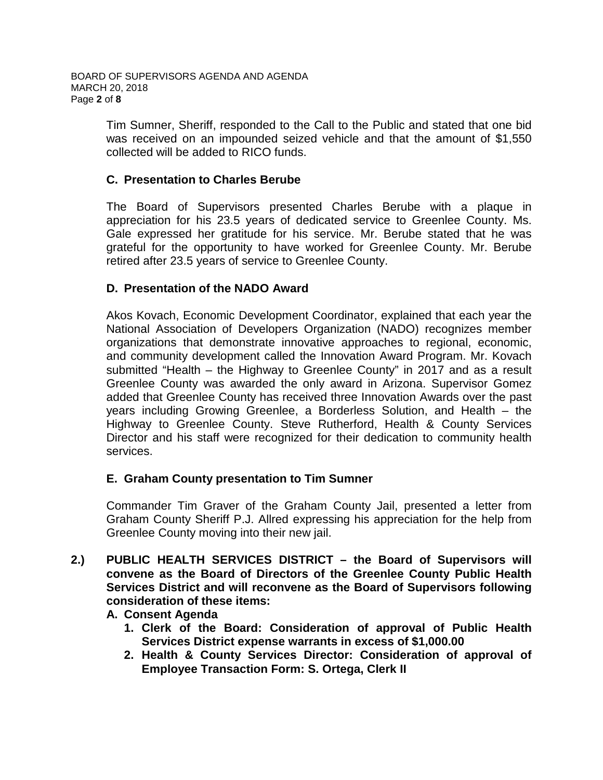Tim Sumner, Sheriff, responded to the Call to the Public and stated that one bid was received on an impounded seized vehicle and that the amount of \$1,550 collected will be added to RICO funds.

## **C. Presentation to Charles Berube**

The Board of Supervisors presented Charles Berube with a plaque in appreciation for his 23.5 years of dedicated service to Greenlee County. Ms. Gale expressed her gratitude for his service. Mr. Berube stated that he was grateful for the opportunity to have worked for Greenlee County. Mr. Berube retired after 23.5 years of service to Greenlee County.

## **D. Presentation of the NADO Award**

Akos Kovach, Economic Development Coordinator, explained that each year the National Association of Developers Organization (NADO) recognizes member organizations that demonstrate innovative approaches to regional, economic, and community development called the Innovation Award Program. Mr. Kovach submitted "Health – the Highway to Greenlee County" in 2017 and as a result Greenlee County was awarded the only award in Arizona. Supervisor Gomez added that Greenlee County has received three Innovation Awards over the past years including Growing Greenlee, a Borderless Solution, and Health – the Highway to Greenlee County. Steve Rutherford, Health & County Services Director and his staff were recognized for their dedication to community health services.

## **E. Graham County presentation to Tim Sumner**

Commander Tim Graver of the Graham County Jail, presented a letter from Graham County Sheriff P.J. Allred expressing his appreciation for the help from Greenlee County moving into their new jail.

**2.) PUBLIC HEALTH SERVICES DISTRICT – the Board of Supervisors will convene as the Board of Directors of the Greenlee County Public Health Services District and will reconvene as the Board of Supervisors following consideration of these items:**

## **A. Consent Agenda**

- **1. Clerk of the Board: Consideration of approval of Public Health Services District expense warrants in excess of \$1,000.00**
- **2. Health & County Services Director: Consideration of approval of Employee Transaction Form: S. Ortega, Clerk II**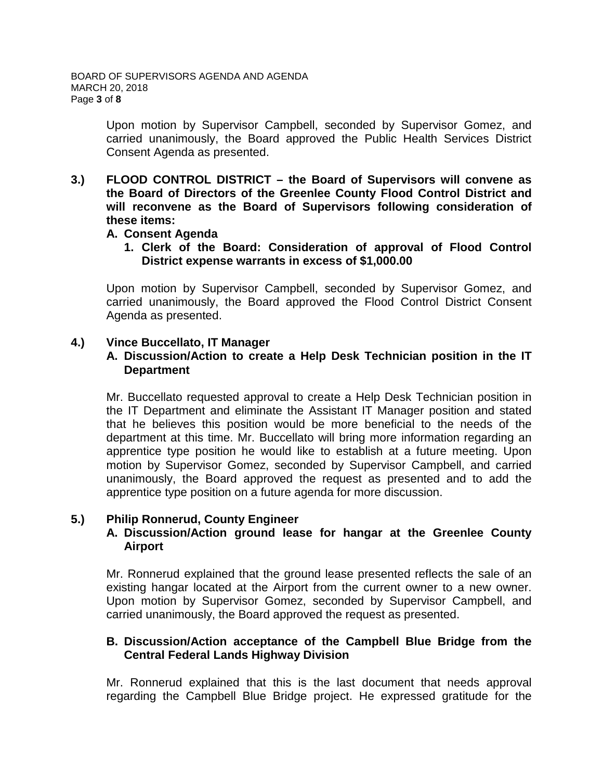Upon motion by Supervisor Campbell, seconded by Supervisor Gomez, and carried unanimously, the Board approved the Public Health Services District Consent Agenda as presented.

**3.) FLOOD CONTROL DISTRICT – the Board of Supervisors will convene as the Board of Directors of the Greenlee County Flood Control District and will reconvene as the Board of Supervisors following consideration of these items:**

#### **A. Consent Agenda**

**1. Clerk of the Board: Consideration of approval of Flood Control District expense warrants in excess of \$1,000.00**

Upon motion by Supervisor Campbell, seconded by Supervisor Gomez, and carried unanimously, the Board approved the Flood Control District Consent Agenda as presented.

#### **4.) Vince Buccellato, IT Manager**

#### **A. Discussion/Action to create a Help Desk Technician position in the IT Department**

Mr. Buccellato requested approval to create a Help Desk Technician position in the IT Department and eliminate the Assistant IT Manager position and stated that he believes this position would be more beneficial to the needs of the department at this time. Mr. Buccellato will bring more information regarding an apprentice type position he would like to establish at a future meeting. Upon motion by Supervisor Gomez, seconded by Supervisor Campbell, and carried unanimously, the Board approved the request as presented and to add the apprentice type position on a future agenda for more discussion.

## **5.) Philip Ronnerud, County Engineer**

#### **A. Discussion/Action ground lease for hangar at the Greenlee County Airport**

Mr. Ronnerud explained that the ground lease presented reflects the sale of an existing hangar located at the Airport from the current owner to a new owner. Upon motion by Supervisor Gomez, seconded by Supervisor Campbell, and carried unanimously, the Board approved the request as presented.

## **B. Discussion/Action acceptance of the Campbell Blue Bridge from the Central Federal Lands Highway Division**

Mr. Ronnerud explained that this is the last document that needs approval regarding the Campbell Blue Bridge project. He expressed gratitude for the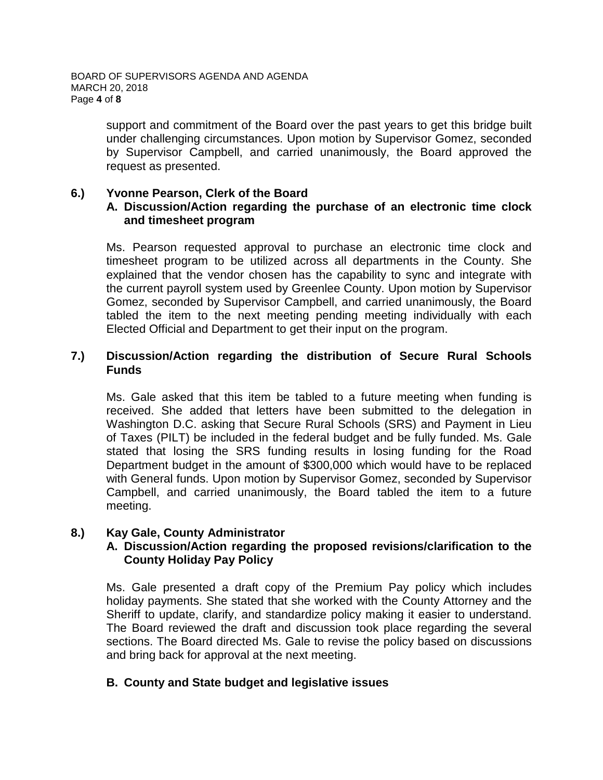support and commitment of the Board over the past years to get this bridge built under challenging circumstances. Upon motion by Supervisor Gomez, seconded by Supervisor Campbell, and carried unanimously, the Board approved the request as presented.

#### **6.) Yvonne Pearson, Clerk of the Board**

## **A. Discussion/Action regarding the purchase of an electronic time clock and timesheet program**

Ms. Pearson requested approval to purchase an electronic time clock and timesheet program to be utilized across all departments in the County. She explained that the vendor chosen has the capability to sync and integrate with the current payroll system used by Greenlee County. Upon motion by Supervisor Gomez, seconded by Supervisor Campbell, and carried unanimously, the Board tabled the item to the next meeting pending meeting individually with each Elected Official and Department to get their input on the program.

#### **7.) Discussion/Action regarding the distribution of Secure Rural Schools Funds**

Ms. Gale asked that this item be tabled to a future meeting when funding is received. She added that letters have been submitted to the delegation in Washington D.C. asking that Secure Rural Schools (SRS) and Payment in Lieu of Taxes (PILT) be included in the federal budget and be fully funded. Ms. Gale stated that losing the SRS funding results in losing funding for the Road Department budget in the amount of \$300,000 which would have to be replaced with General funds. Upon motion by Supervisor Gomez, seconded by Supervisor Campbell, and carried unanimously, the Board tabled the item to a future meeting.

## **8.) Kay Gale, County Administrator**

## **A. Discussion/Action regarding the proposed revisions/clarification to the County Holiday Pay Policy**

Ms. Gale presented a draft copy of the Premium Pay policy which includes holiday payments. She stated that she worked with the County Attorney and the Sheriff to update, clarify, and standardize policy making it easier to understand. The Board reviewed the draft and discussion took place regarding the several sections. The Board directed Ms. Gale to revise the policy based on discussions and bring back for approval at the next meeting.

## **B. County and State budget and legislative issues**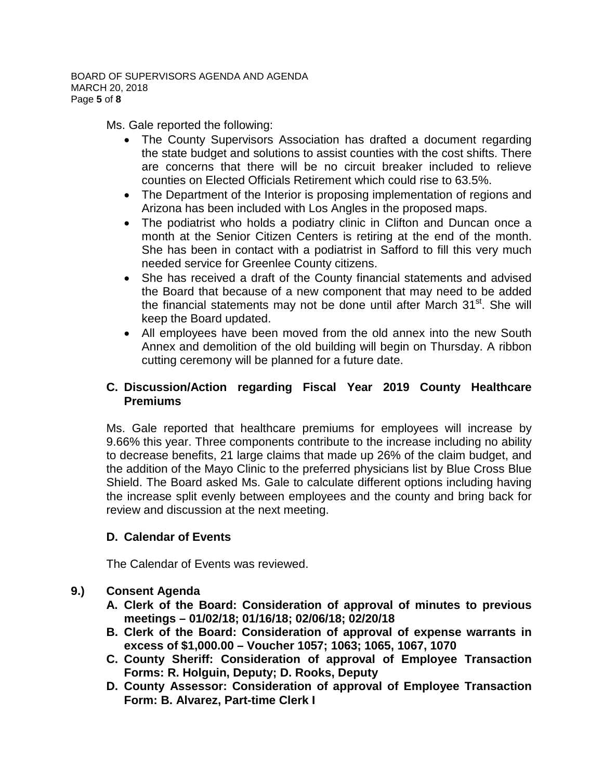Ms. Gale reported the following:

- The County Supervisors Association has drafted a document regarding the state budget and solutions to assist counties with the cost shifts. There are concerns that there will be no circuit breaker included to relieve counties on Elected Officials Retirement which could rise to 63.5%.
- The Department of the Interior is proposing implementation of regions and Arizona has been included with Los Angles in the proposed maps.
- The podiatrist who holds a podiatry clinic in Clifton and Duncan once a month at the Senior Citizen Centers is retiring at the end of the month. She has been in contact with a podiatrist in Safford to fill this very much needed service for Greenlee County citizens.
- She has received a draft of the County financial statements and advised the Board that because of a new component that may need to be added the financial statements may not be done until after March 31<sup>st</sup>. She will keep the Board updated.
- All employees have been moved from the old annex into the new South Annex and demolition of the old building will begin on Thursday. A ribbon cutting ceremony will be planned for a future date.

## **C. Discussion/Action regarding Fiscal Year 2019 County Healthcare Premiums**

Ms. Gale reported that healthcare premiums for employees will increase by 9.66% this year. Three components contribute to the increase including no ability to decrease benefits, 21 large claims that made up 26% of the claim budget, and the addition of the Mayo Clinic to the preferred physicians list by Blue Cross Blue Shield. The Board asked Ms. Gale to calculate different options including having the increase split evenly between employees and the county and bring back for review and discussion at the next meeting.

# **D. Calendar of Events**

The Calendar of Events was reviewed.

# **9.) Consent Agenda**

- **A. Clerk of the Board: Consideration of approval of minutes to previous meetings – 01/02/18; 01/16/18; 02/06/18; 02/20/18**
- **B. Clerk of the Board: Consideration of approval of expense warrants in excess of \$1,000.00 – Voucher 1057; 1063; 1065, 1067, 1070**
- **C. County Sheriff: Consideration of approval of Employee Transaction Forms: R. Holguin, Deputy; D. Rooks, Deputy**
- **D. County Assessor: Consideration of approval of Employee Transaction Form: B. Alvarez, Part-time Clerk I**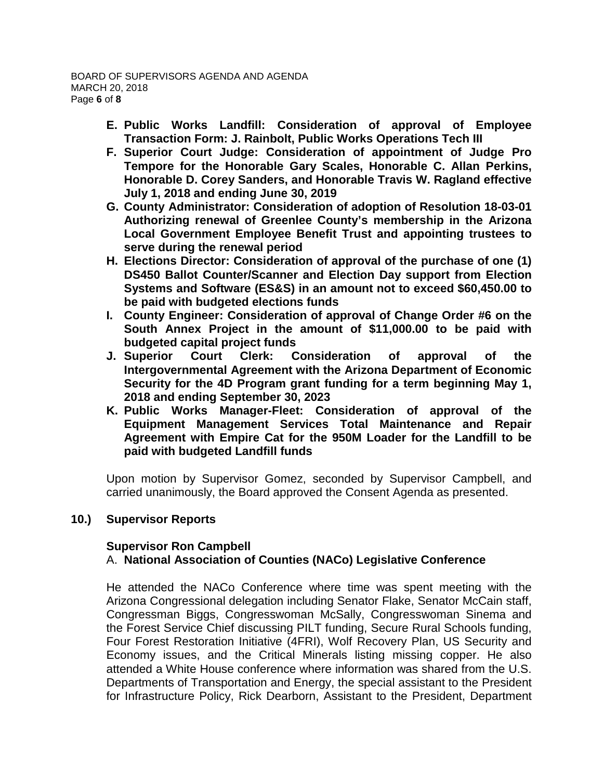- **E. Public Works Landfill: Consideration of approval of Employee Transaction Form: J. Rainbolt, Public Works Operations Tech III**
- **F. Superior Court Judge: Consideration of appointment of Judge Pro Tempore for the Honorable Gary Scales, Honorable C. Allan Perkins, Honorable D. Corey Sanders, and Honorable Travis W. Ragland effective July 1, 2018 and ending June 30, 2019**
- **G. County Administrator: Consideration of adoption of Resolution 18-03-01 Authorizing renewal of Greenlee County's membership in the Arizona Local Government Employee Benefit Trust and appointing trustees to serve during the renewal period**
- **H. Elections Director: Consideration of approval of the purchase of one (1) DS450 Ballot Counter/Scanner and Election Day support from Election Systems and Software (ES&S) in an amount not to exceed \$60,450.00 to be paid with budgeted elections funds**
- **I. County Engineer: Consideration of approval of Change Order #6 on the South Annex Project in the amount of \$11,000.00 to be paid with budgeted capital project funds**
- **J. Superior Court Clerk: Consideration of approval of the Intergovernmental Agreement with the Arizona Department of Economic Security for the 4D Program grant funding for a term beginning May 1, 2018 and ending September 30, 2023**
- **K. Public Works Manager-Fleet: Consideration of approval of the Equipment Management Services Total Maintenance and Repair Agreement with Empire Cat for the 950M Loader for the Landfill to be paid with budgeted Landfill funds**

Upon motion by Supervisor Gomez, seconded by Supervisor Campbell, and carried unanimously, the Board approved the Consent Agenda as presented.

## **10.) Supervisor Reports**

#### **Supervisor Ron Campbell** A. **National Association of Counties (NACo) Legislative Conference**

He attended the NACo Conference where time was spent meeting with the Arizona Congressional delegation including Senator Flake, Senator McCain staff, Congressman Biggs, Congresswoman McSally, Congresswoman Sinema and the Forest Service Chief discussing PILT funding, Secure Rural Schools funding, Four Forest Restoration Initiative (4FRI), Wolf Recovery Plan, US Security and Economy issues, and the Critical Minerals listing missing copper. He also attended a White House conference where information was shared from the U.S. Departments of Transportation and Energy, the special assistant to the President for Infrastructure Policy, Rick Dearborn, Assistant to the President, Department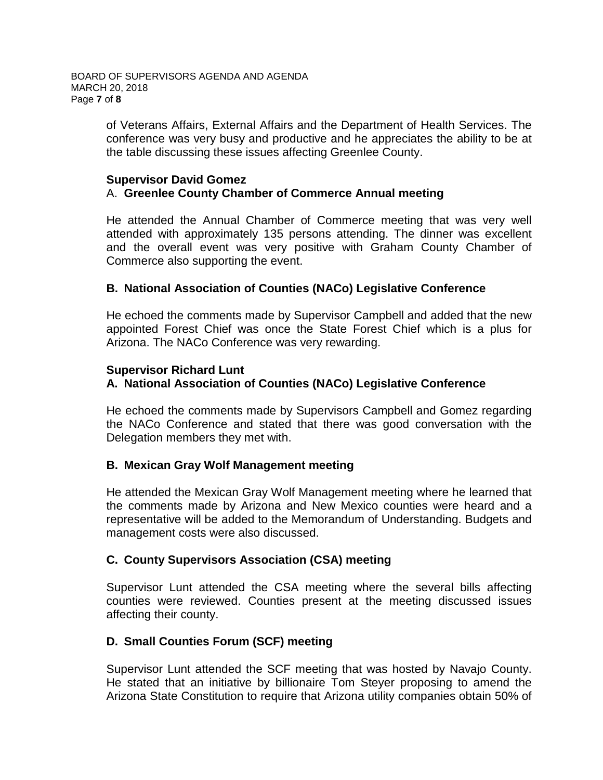of Veterans Affairs, External Affairs and the Department of Health Services. The conference was very busy and productive and he appreciates the ability to be at the table discussing these issues affecting Greenlee County.

#### **Supervisor David Gomez** A. **Greenlee County Chamber of Commerce Annual meeting**

He attended the Annual Chamber of Commerce meeting that was very well attended with approximately 135 persons attending. The dinner was excellent and the overall event was very positive with Graham County Chamber of Commerce also supporting the event.

## **B. National Association of Counties (NACo) Legislative Conference**

He echoed the comments made by Supervisor Campbell and added that the new appointed Forest Chief was once the State Forest Chief which is a plus for Arizona. The NACo Conference was very rewarding.

## **Supervisor Richard Lunt**

# **A. National Association of Counties (NACo) Legislative Conference**

He echoed the comments made by Supervisors Campbell and Gomez regarding the NACo Conference and stated that there was good conversation with the Delegation members they met with.

## **B. Mexican Gray Wolf Management meeting**

He attended the Mexican Gray Wolf Management meeting where he learned that the comments made by Arizona and New Mexico counties were heard and a representative will be added to the Memorandum of Understanding. Budgets and management costs were also discussed.

## **C. County Supervisors Association (CSA) meeting**

Supervisor Lunt attended the CSA meeting where the several bills affecting counties were reviewed. Counties present at the meeting discussed issues affecting their county.

# **D. Small Counties Forum (SCF) meeting**

Supervisor Lunt attended the SCF meeting that was hosted by Navajo County. He stated that an initiative by billionaire Tom Steyer proposing to amend the Arizona State Constitution to require that Arizona utility companies obtain 50% of